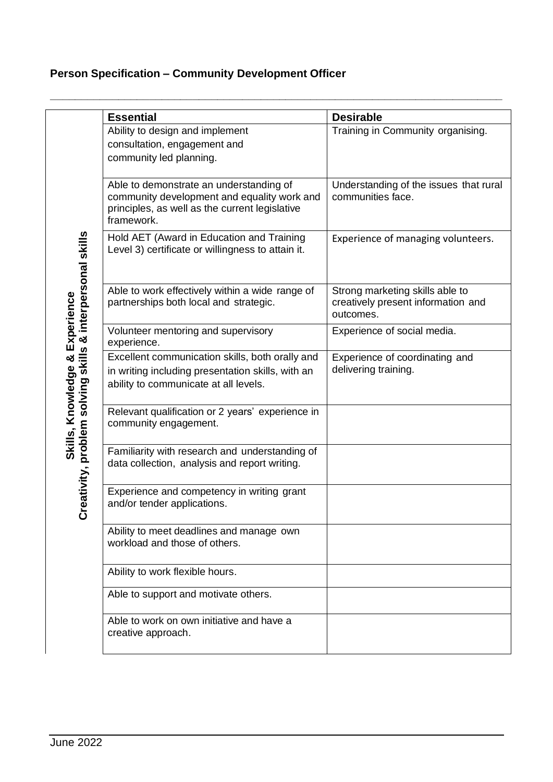## **Person Specification – Community Development Officer**

|                                                                                             | <b>Essential</b>                                                                                                                                       | <b>Desirable</b>                                                                   |
|---------------------------------------------------------------------------------------------|--------------------------------------------------------------------------------------------------------------------------------------------------------|------------------------------------------------------------------------------------|
| Creativity, problem solving skills & interpersonal skills<br>Skills, Knowledge & Experience | Ability to design and implement<br>consultation, engagement and<br>community led planning.                                                             | Training in Community organising.                                                  |
|                                                                                             | Able to demonstrate an understanding of<br>community development and equality work and<br>principles, as well as the current legislative<br>framework. | Understanding of the issues that rural<br>communities face.                        |
|                                                                                             | Hold AET (Award in Education and Training<br>Level 3) certificate or willingness to attain it.                                                         | Experience of managing volunteers.                                                 |
|                                                                                             | Able to work effectively within a wide range of<br>partnerships both local and strategic.                                                              | Strong marketing skills able to<br>creatively present information and<br>outcomes. |
|                                                                                             | Volunteer mentoring and supervisory<br>experience.                                                                                                     | Experience of social media.                                                        |
|                                                                                             | Excellent communication skills, both orally and<br>in writing including presentation skills, with an<br>ability to communicate at all levels.          | Experience of coordinating and<br>delivering training.                             |
|                                                                                             | Relevant qualification or 2 years' experience in<br>community engagement.                                                                              |                                                                                    |
|                                                                                             | Familiarity with research and understanding of<br>data collection, analysis and report writing.                                                        |                                                                                    |
|                                                                                             | Experience and competency in writing grant<br>and/or tender applications.                                                                              |                                                                                    |
|                                                                                             | Ability to meet deadlines and manage own<br>workload and those of others.                                                                              |                                                                                    |
|                                                                                             | Ability to work flexible hours.                                                                                                                        |                                                                                    |
|                                                                                             | Able to support and motivate others.                                                                                                                   |                                                                                    |
|                                                                                             | Able to work on own initiative and have a<br>creative approach.                                                                                        |                                                                                    |

**\_\_\_\_\_\_\_\_\_\_\_\_\_\_\_\_\_\_\_\_\_\_\_\_\_\_\_\_\_\_\_\_\_\_\_\_\_\_\_\_\_\_\_\_\_\_\_\_\_\_\_\_\_\_\_\_\_\_\_\_\_\_\_\_\_\_\_\_\_\_\_\_\_**